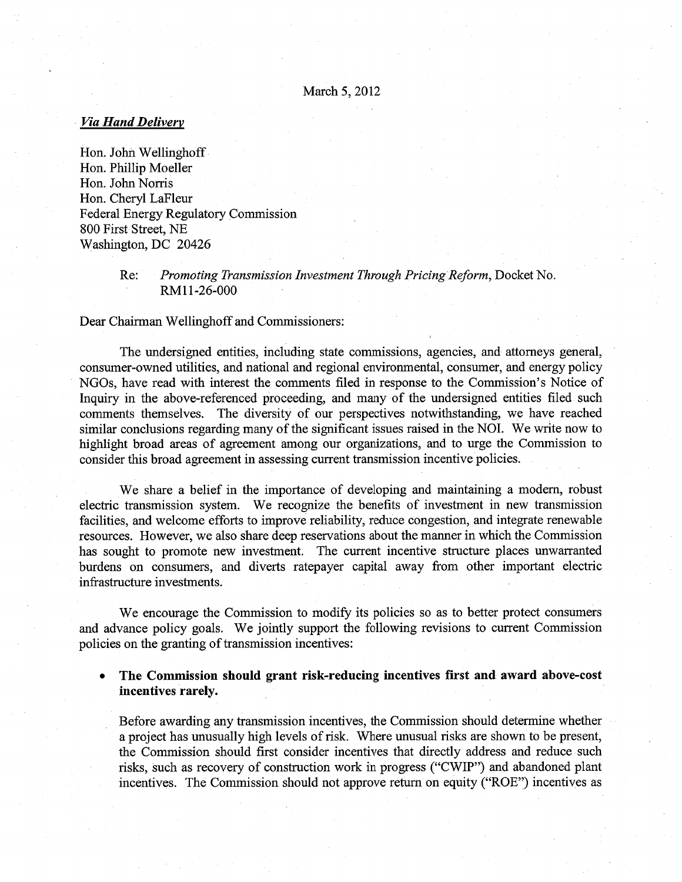# **Via Hand Delivery**

Hon. John Wellinghoff Hon. Phillip Moeller Hon. John Norris Hon. Cheryl LaFleur Federal Energy Regulatory Commission 800 First Street, NE Washington, DC 20426

> Re: Promoting Transmission Investment Through Pricing Reform, Docket No. RM11-26-000

Dear Chairman Wellinghoff and Commissioners:

The undersigned entities, including state commissions, agencies, and attorneys general, consumer-owned utilities, and national and regional environmental, consumer, and energy policy NGOs, have read with interest the comments filed in response to the Commission's Notice of Inquiry in the above-referenced proceeding, and many of the undersigned entities filed such comments themselves. The diversity of our perspectives notwithstanding, we have reached similar conclusions regarding many of the significant issues raised in the NOl. We write now to highlight broad areas of agreement among our organizations, and to urge the Commission to consider this broad agreement in assessing current transmission incentive policies.

We share a belief in the importance of developing and maintaining a modern, robust electric transmission system. We recognize the benefits of investment in new transmission facilities, and welcome efforts to improve reliability, reduce congestion, and integrate renewable resources. However, we also share deep reservations about the manner in which the Commission has sought to promote new investment. The current incentive structure places unwarranted burdens on consumers, and diverts ratepayer capital away from other important electric infrastructure investments.

We encourage the Commission to modify its policies so as to better protect consumers and advance policy goals. We jointly support the following revisions to current Commission policies on the granting of transmission incentives:

• The Commission should grant risk-reducing incentives first and award above-cost incentives rarely.

Before awarding any transmission incentives, the Commission should determine whether <sup>a</sup> project has unusually high levels of risk. Where unusual risks are shown to be present, the Commission should first consider incentives that directly address and reduce such risks, such as recovery of construction work in progress ("CWIP") and abandoned plant incentives. The Commission should not approve return on equity ("ROE") incentives as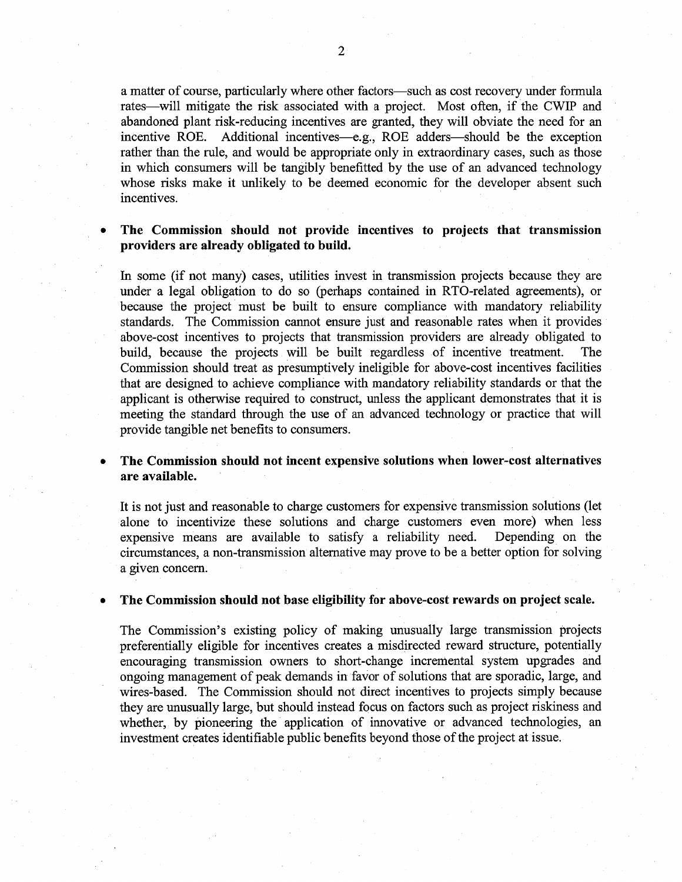<sup>a</sup> matter of course, particularly where other factors—such as cost recovery under formula rates—will mitigate the risk associated with <sup>a</sup> project. Most often, if the CWIP and abandoned plant risk-reducing incentives are granted, they will obviate the need for an incentive ROE. Additional incentives—e.g., ROE adders—should be the exception rather than the rule, and would be appropriate only in extraordinary cases, such as those in which consumers will be tangibly benefitted by the use of an advanced technology whose risks make it unlikely to be deemed economic for the developer absent such incentives.

# The Commission should not provide incentives to projects that transmission providers are already obligated to build.

In some (if not many) cases, utilities invest in transmission projects because they are under <sup>a</sup> legal obligation to do so (perhaps contained in RTO-related agreements), or because the project must be built to ensure compliance with mandatory reliability standards. The Commission cannot ensure just and reasonable rates when it provides above-cost incentives to projects that transmission providers are already obligated to build, because the projects will be built regardless of incentive treatment. The Commission should treat as presumptively ineligible for above-cost incentives facilities that are designed to achieve compliance with mandatory reliability standards or that the applicant is otherwise required to construct, unless the applicant demonstrates that it is meeting the standard through the use of an advanced technology or practice that will provide tangible net benefits to consumers.

# • The Commission should not incent expensive solutions when lower-cost alternatives are available.

It is not just and reasonable to charge customers for expensive transmission solutions (let alone to incentivize these solutions and charge customers even more) when less expensive means are available to satisfy <sup>a</sup> reliability need. Depending on the circumstances, <sup>a</sup> non-transmission alternative may prove to be <sup>a</sup> better option for solving <sup>a</sup> given concern.

# The Commission should not base eligibility for above-cost rewards on project scale.

The Commission's existing policy of making unusually large transmission projects preferentially eligible for incentives creates <sup>a</sup> misdirected reward structure, potentially encouraging transmission owners to short-change incremental system upgrades and ongoing management of peak demands in favor of solutions that are sporadic, large, and wires-based. The Commission should not direct incentives to projects simply because they are unusually large, but should instead focus on factors such as project riskiness and whether, by pioneering the application of innovative or advanced technologies, an investment creates identifiable public benefits beyond those of the project at issue.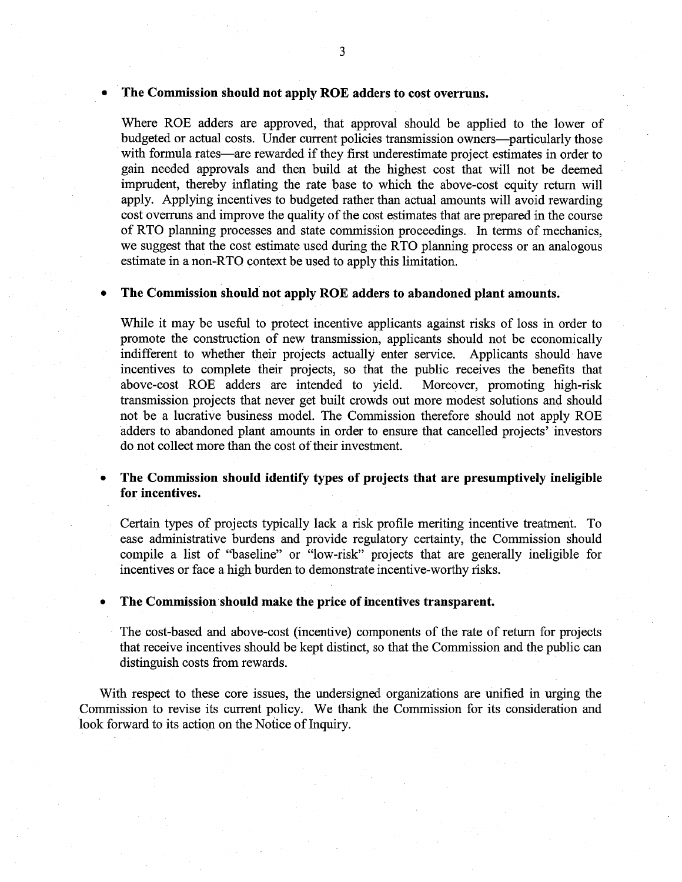### • The Commission should not apply ROE adders to cost overruns.

Where ROE adders are approved, that approval should be applied to the lower of budgeted or actual costs. Under current policies transmission owners—particularly those with formula rates—are rewarded if they first underestimate project estimates in order to gain needed approvals and then build at the highest cost that will not be deemed imprudent, thereby inflating the rate base to which the above-cost equity return will apply. Applying incentives to budgeted rather than actual amounts will avoid rewarding cost overruns and improve the quality of the cost estimates that are prepared in the course of RTO planning processes and state commission proceedings. In terms of mechanics, we suggest that the cost estimate used during the RTO planning process or an analogous estimate in <sup>a</sup> non-RTO context be used to apply this limitation.

# • The Commission should not apply ROE adders to abandoned plant amounts.

While it may be useful to protect incentive applicants against risks of loss in order to promote the construction of new transmission, applicants should not be economically indifferent to whether their projects actually enter service. Applicants should have incentives to complete their projects, so that the public receives the benefits that above-cost ROE adders are intended to yield. Moreover, promoting high-risk transmission projects that never get built crowds out more modest solutions and should not be <sup>a</sup> lucrative business model. The Commission therefore should not apply ROE adders to abandoned plant amounts in order to ensure that cancelled projects' investors do not collect more than the cost of their investment.

# • The Commission should identify types of projects that are presumptively ineligible for incentives.

Certain types of projects typically lack <sup>a</sup> risk profile meriting incentive treatment. To ease administrative burdens and provide regulatory certainty, the Commission should compile <sup>a</sup> list of "baseline" or "low-risk" projects that are generally ineligible for incentives or face <sup>a</sup> high burden to demonstrate incentive-worthy risks.

# • The Commission should make the price of incentives transparent.

The cost-based and above-cost (incentive) components of the rate of return for projects that receive incentives should be kept distinct, so that the Commission and the public can distinguish costs from rewards.

With respect to these core issues, the undersigned organizations are unified in urging the Commission to revise its current policy. We thank the Commission for its consideration and look forward to its action on the Notice of Inquiry.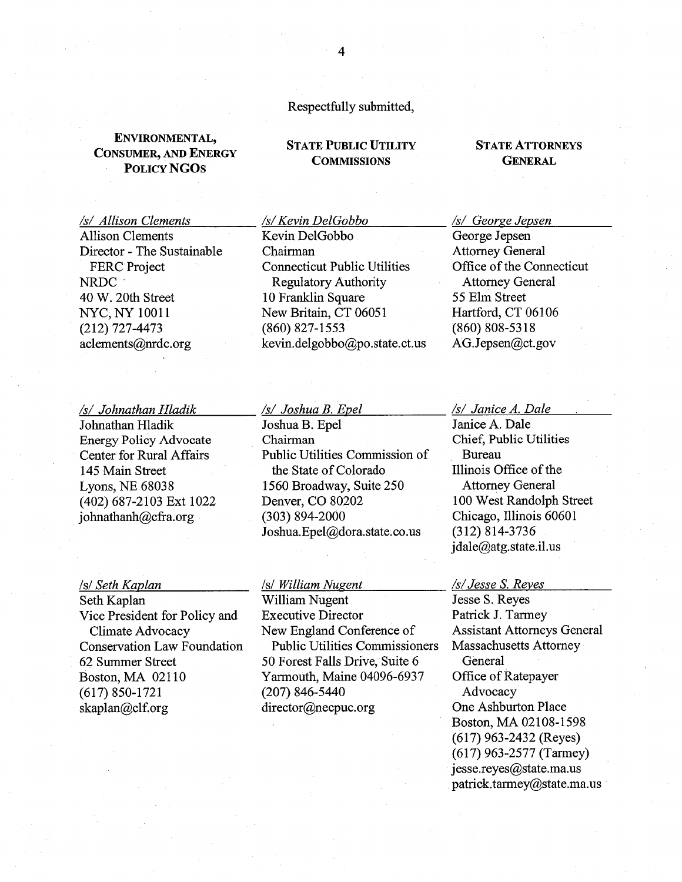# Respectfully submitted,

# ENVIRONMENTAL, CONSUMER, AND ENERGY STATE PUBLIC UTILITY STATE ATTORNEYS<br>
COMMISSIONS GENERAL POLICY NGOS

Allison Clements Kevin DelGobbo George Jepsen

### /s/ Johnathan Hladik /s/ Joshua B. Epel /s/ Janice A. Dale

 $johnathanh@cfra.org$  (303) 894-2000

Seth Kaplan William Nugent

Director - The Sustainable Chairman Attorney General FERC Project Connecticut Public Utilities Office of the Connecticut NRDC Regulatory Authority Attorney General <sup>40</sup> W. 20th Street <sup>10</sup> Franklin Square <sup>55</sup> Elm Street NYC, NY 10011 New Britain, CT 06051 Hartford, CT 06106 (212) 727-4473 (860) 827-1553 (860) 808-5318 aclements@nrdc.org kevin.delgobbo@po.state.ct.us AG.Jepsen@ct.gov

Johnathan Hladik Joshua B. Epel Janice A. Dale Energy Policy Advocate Chairman Chief, Public Utilities Center for Rural Affairs Public Utilities Commission of Bureau 145 Main Street the State of Colorado Illinois Office of the Lyons, NE 68038 1560 Broadway, Suite 250 Attorney General (402) 687-2103 Ext 1022 Denver, CO 80202 100 West Randolph Street<br>
iohnathanh@cfra.org (303) 894-2000 Chicago, Illinois 60601 Joshua.Epel $@d$ ora.state.co.us (312) 814-3736

Seth Kaplan Milliam Nugent /s/ Jesse S. Reyes Seth Kaplan /s/ Jesse S. Reyes /s/ Jesse S. Reyes /s/ Jesse S. Reyes Vice President for Policy and Executive Director Patrick J. Tarmey Climate Advocacy New England Conference of Assistant Attorneys General Conservation Law Foundation Public Utilities Commissioners Massachusetts Attorney 62 Summer Street 50 Forest Falls Drive, Suite 6 General Boston, MA 02110 Yarmouth, Maine 04096-6937 Office of Ratepayer (617) 850-1721 (207) 846-5440 Advocacy skaplan@clf.org director@necpuc.org One Ashburton Place

# /s/ Allison Clements /s/Kevin DelGobbo /s/ George Jepsen

jdale@atg.state.il.us

Boston, MA 02108-1598 (617) 963-2432 (Reyes) (617) 963-2577 (Tarmey)  $jesse.reyes@state.ma.us$ patrick.tarmey@state.ma.us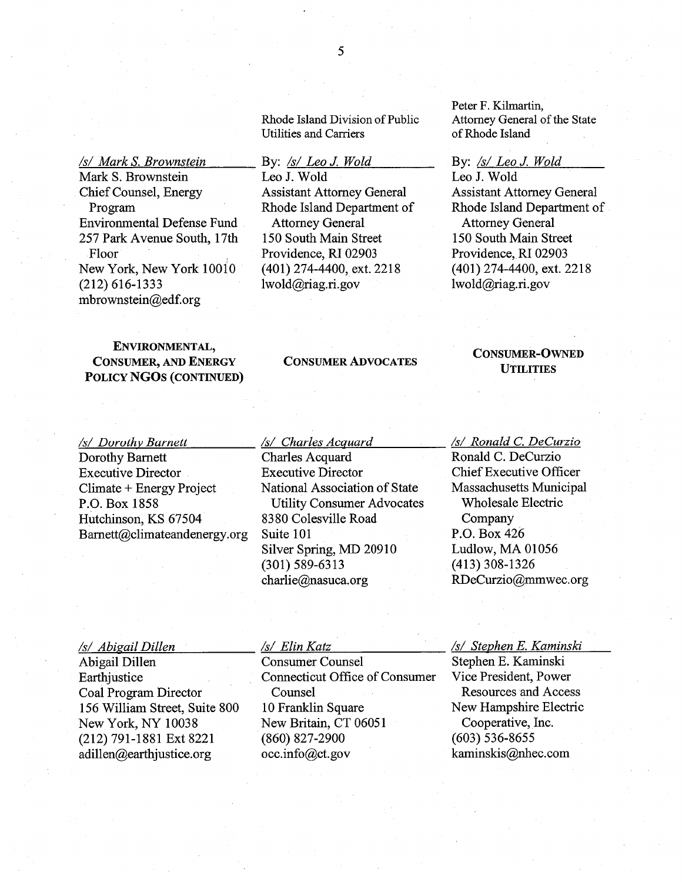Rhode Island Division of Public Utilities and Carriers

Assistant Attorney General Rhode Island Department of

By: /s/ Leo J. Wold

Attorney General 150 South Main Street Providence, RI 02903 (401) 274-4400, ext. 2218

lwold@riag.ri.gov

Leo J. Wold

# /s/ Mark S. Brownstein Mark S. Brownstein Chief Counsel, Energy Program Environmental Defense Fund 257 Park Avenue South, 17th Floor New York, New York 10010 (212) 616-1333 mbrownstein@edf.org

# ENVIRONMENTAL, CONSUMER, AND ENERGY POLICY NGO5 (CONTINUED)

/s/ Dorothy Barnett Dorothy Bamett Executive Director Climate <sup>+</sup> Energy Project P.O. Box 1858 Hutchinson, KS 67504  $Barnett@climate and energy.org$ 

/s/ Charles Acquard Charles Acquard Executive Director National Association of State Utility Consumer Advocates 8380 Colesville Road Suite 101 Silver Spring, MD 20910 (301) 589-6313 charlie@nasuca.org

Peter F. Kilmartin, Attorney General of the State of Rhode Island

### By:  $\sqrt{s}$  Leo J. Wold

Leo J. Wold Assistant Attorney General Rhode Island Department of Attorney General 150 South Main Street Providence, RI 02903 (401) 274-4400, ext. 2218 lwold@riag.ri.gov

# CONSUMER ADVOCATES<br>UTILITIES

— /s/ Ronald C. DeCurzio Ronald C. DeCurzio Chief Executive Officer Massachusetts Municipal Wholesale Electric Company P.O. Box 426 Ludlow, MA 01056 (413) 308-1326 RDeCurzio@mmwec.org

 $/s/Abigail$ Dillen Abigail Dillen Earthjustice Coal Program Director 156 William Street, Suite 800 New York, NY 10038 (212) 791-1881 Ext 8221 adillen@earthjustice.org

## /s/ Elm Katz

Consumer Counsel Connecticut Office of Consumer Counsel 10 Franklin Square New Britain, CT 06051 (860) 827-2900 occ.info@ct.gov

/s/ Stephen E. Kaminski

Stephen E. Kaminski Vice President, Power Resources and Access New Hampshire Electric Cooperative, Inc. (603) 536-8655 kaminskis@nhec.com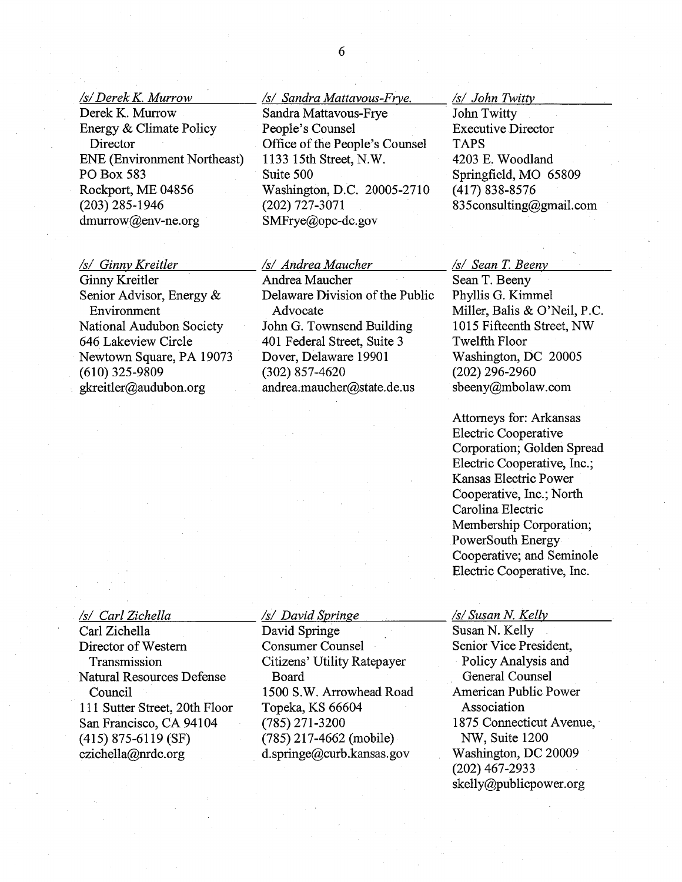/s/Derek K Murrow

Derek K. Murrow Energy & Climate Policy **Director** ENE (Environment Northeast) P0 Box 583 Rockport, ME 04856 (203) 285-1946 dmurrow@env-ne.org

- /s/ Sandra Mattavous-Frve. Sandra Mattavous-Frye People's Counsel Office of the People's Counsel 1133 15th Street, N.W. Suite 500 Washington, D.C. 20005-2710 (202) 727-3071 SMFrye@opc-dc.gov

/s/ John Twittv

John Twitty Executive Director TAPS 4203 E. Woodland Springfield, MO 65809 (417) 838-8576 <sup>83</sup> 5consulting@gmail.com

### /s/ Ginny Kreitler

Ginny Kreitler Senior Advisor, Energy & Environment National Audubon Society 646 Lakeview Circle Newtown Square, PA 19073 (610) 325-9809 gkreitler@audubon.org

# /s/ Andrea Maucher

Andrea Maucher Delaware Division of the Public Advocate John G. Townsend Building 401 Federal Street, Suite 3 Dover, Delaware 19901 (302) 857-4620 andrea.maucher@state.de.us

# /s/ Sean T. Beeny

Sean T. Beeny Phyllis G. Kimmel Miller, Balis & O'Neil, P.C. <sup>1015</sup> Fifteenth Street, NW Twelfth Floor Washington, DC 20005 (202) 296-2960 sbeeny@mbolaw.com

Attorneys for: Arkansas Electric Cooperative Corporation; Golden Spread Electric Cooperative, Inc.; Kansas Electric Power Cooperative, Inc.; North Carolina Electric Membership Corporation; PowerSouth Energy Cooperative; and Seminole Electric Cooperative, Inc.

### /s/ Carl Zichella

Carl Zichella Director of Western Transmission Natural Resources Defense Council 111 Sutter Street, 20th Floor San Francisco, CA 94104 (415) 875-6119 (SF) czichella@nrdc.org

## /s/ David Springe

David Springe Consumer Counsel Citizens' Utility Ratepayer Board 1500 S.W. Arrowhead Road Topeka, KS 66604 (785) 271-3200 (785) 217-4662 (mobile) d.springe@curb.kansas.gov

### /s/ Susan N. Kelly

Susan N. Kelly Senior Vice President, Policy Analysis and General Counsel American Public Power Association 1875 Connecticut Avenue, NW, Suite 1200 Washington, DC 20009 (202) 467-2933 skelly@publicpower.org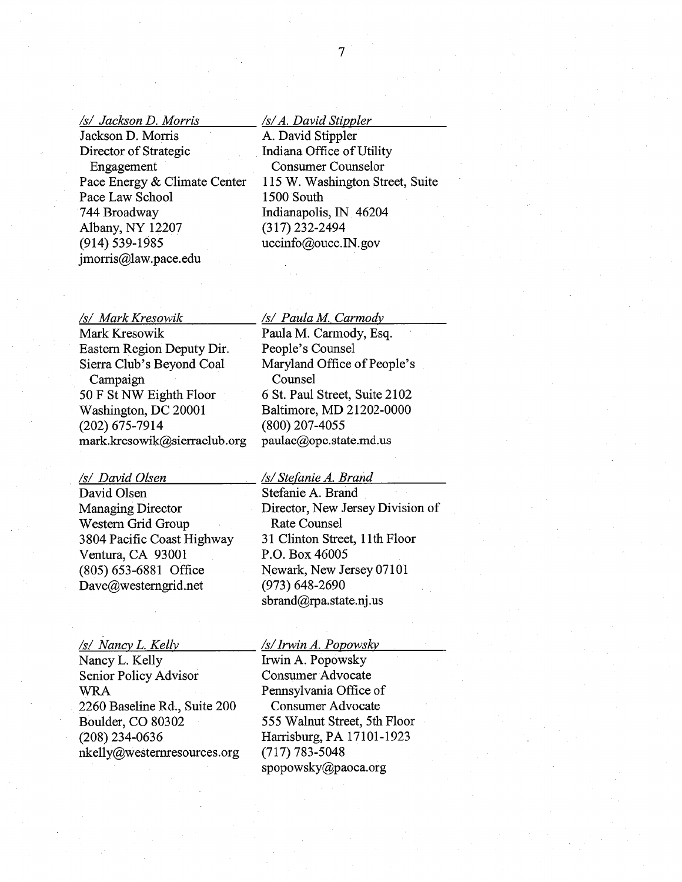### /s/ Jackson D. Morris

Jackson D. Morris Director of Strategic Engagement Pace Energy & Climate Center Pace Law School 744 Broadway Albany, NY 12207 (914) 539-1985  $\begin{array}{lll} \frac{fS}{\sqrt{3}} \textit{Jackson D. Morris} & \textit{fs/}A. \textit{David Stippler} \\ \hline \textit{Jackson D. Morris} & \textit{A. David Stippler} \\ \textit{Director of Strategic} & \textit{Indiana Office of Utility} \\ \textit{Engagement} & \textit{Cosuumer Couselor} \\ \textit{Face Energy & Clinton} & \textit{15 W. Washington Street, Suite} \\ \textit{Face Law School} & \textit{1500 South} \\ \textit{744 Broadway} & \textit{Indianapolis, IN 46204} \\ \textit{Albany, NY 12207} & \textit{(317) 232-24$ 

Mark Kresowik Paula M. Carmody, Esq. Eastern Region Deputy Dir. People's Counsel Sierra Club's Beyond Coal Maryland Office of People's Campaign Counsel 50 F St NW Eighth Floor Washington, DC 20001 Baltimore, MD 21202-0000 (202) 675-7914 (800) 207-4055 mark.kresowik@sierraclub.org paulac@opc.state.md.us

David Olsen Stefanie A. Brand Western Grid Group Rate Counsel Ventura, CA 93001 P.O. Box 46005 (805) 653-6881 Office Newark, New Jersey 07101 Dave@westerngrid.net (973) 648-2690

# /s/ Nancy L Kelly

Nancy L. Kelly Senior Policy Advisor WRA 2260 Baseline Rd., Suite 200 Boulder, CO 80302 (208) 234-0636 nkelly@westernresources.org

# /s/ Mark Kresowik /s/ Paula M. Carmody

6 St. Paul Street, Suite 2102

# /s/ David Olsen /s/Stefanie A. Brand

Managing Director Director, New Jersey Division of 3804 Pacific Coast Highway 31 Clinton Street, 11th Floor sbrand@rpa.state.nj.us

# /s/IrwinA. Popowsky

Irwin A. Popowsky Consumer Advocate Pennsylvania Office of Consumer Advocate 555 Walnut Street, 5th Floor Harrisburg, PA 17101-1923 (717) 783-5048 spopowsky@paoca.org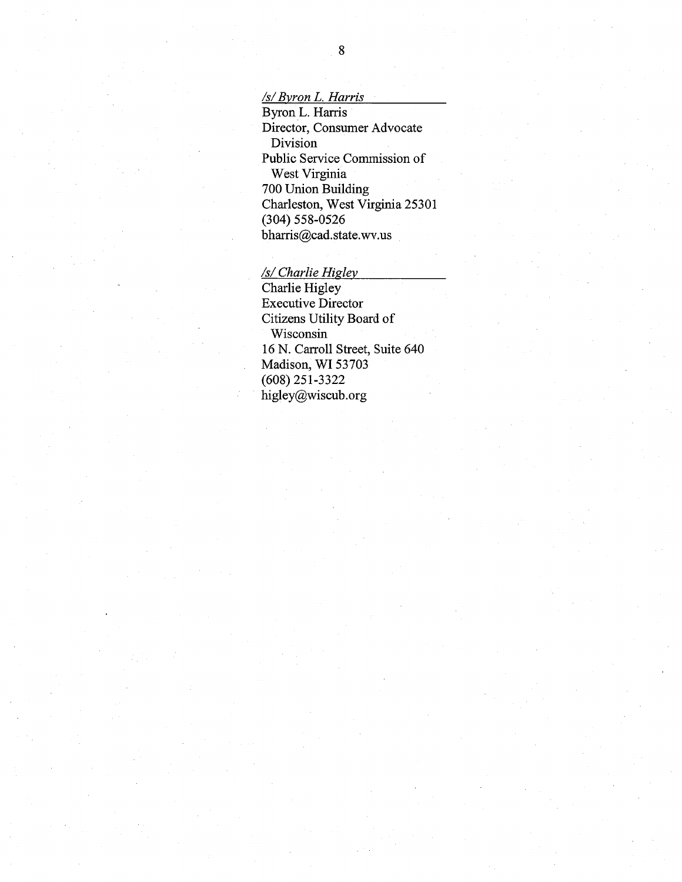/s/Byron L. Harris

Byron L. Harris Director, Consumer Advocate Division Public Service Commission of West Virginia 700 Union Building Charleston, West Virginia 25301 (304) 558-0526 bharris@cad.state.wv.us

/s/ Charlie Higley

Charlie Higley Executive Director Citizens Utility Board of Wisconsin ~ 16 N. Carroll Street, Suite 640 Madison, WI 53703 (608) 251-3322 higley@wiscub.org